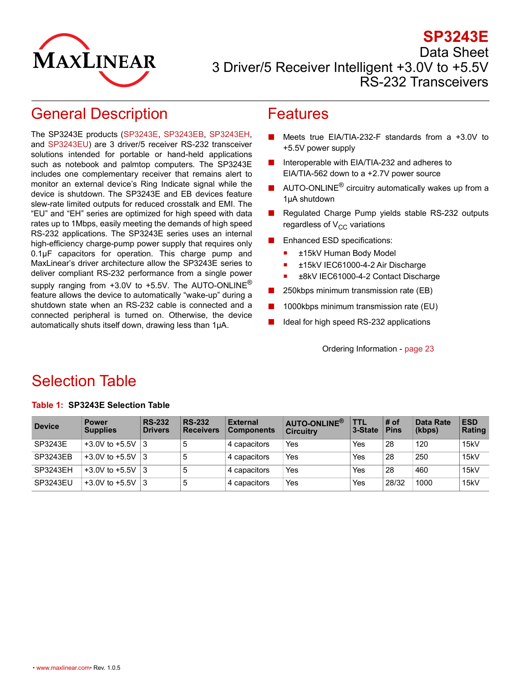

### **SP3243E** Data Sheet 3 Driver/5 Receiver Intelligent +3.0V to +5.5V RS-232 Transceivers

# <span id="page-0-0"></span>General Description

The SP3243E products ([SP3243E,](http://www.maxlinear.com/SP3243E) [SP3243EB](http://www.maxlinear.com/SP3243EB), [SP3243EH,](http://www.maxlinear.com/SP3243EH) and [SP3243EU\)](http://www.maxlinear.com/SP3243EU) are 3 driver/5 receiver RS-232 transceiver solutions intended for portable or hand-held applications such as notebook and palmtop computers. The SP3243E includes one complementary receiver that remains alert to monitor an external device's Ring Indicate signal while the device is shutdown. The SP3243E and EB devices feature slew-rate limited outputs for reduced crosstalk and EMI. The "EU" and "EH" series are optimized for high speed with data rates up to 1Mbps, easily meeting the demands of high speed RS-232 applications. The SP3243E series uses an internal high-efficiency charge-pump power supply that requires only 0.1µF capacitors for operation. This charge pump and MaxLinear's driver architecture allow the SP3243E series to deliver compliant RS-232 performance from a single power supply ranging from  $+3.0V$  to  $+5.5V$ . The AUTO-ONLINE<sup>®</sup> feature allows the device to automatically "wake-up" during a shutdown state when an RS-232 cable is connected and a connected peripheral is turned on. Otherwise, the device automatically shuts itself down, drawing less than 1µA.

### <span id="page-0-1"></span>Features

- Meets true EIA/TIA-232-F standards from a  $+3.0V$  to +5.5V power supply
- Interoperable with EIA/TIA-232 and adheres to EIA/TIA-562 down to a +2.7V power source
- AUTO-ONLINE<sup>®</sup> circuitry automatically wakes up from a 1µA shutdown
- Regulated Charge Pump yields stable RS-232 outputs regardless of  $V_{CC}$  variations
- Enhanced ESD specifications:
	- ±15kV Human Body Model
	- ±15kV IEC61000-4-2 Air Discharge
	- ±8kV IEC61000-4-2 Contact Discharge
- 250kbps minimum transmission rate (EB)
- 1000kbps minimum transmission rate (EU)
- Ideal for high speed RS-232 applications

Ordering Information - [page 23](#page-28-0)

# <span id="page-0-2"></span>Selection Table

| <b>Device</b> | <b>Power</b><br><b>Supplies</b> | <b>RS-232</b><br><b>Drivers</b> | <b>RS-232</b><br><b>Receivers</b> | <b>External</b><br><b>Components</b> | AUTO-ONLINE®<br><b>Circuitry</b> | TTL<br>3-State | # of<br><b>Pins</b> | Data Rate<br>(kbps) | <b>ESD</b><br>Rating |
|---------------|---------------------------------|---------------------------------|-----------------------------------|--------------------------------------|----------------------------------|----------------|---------------------|---------------------|----------------------|
| SP3243E       | $+3.0V$ to $+5.5V$              | - 13                            | ১                                 | 4 capacitors                         | Yes                              | Yes            | 28                  | 120                 | 15kV                 |
| SP3243EB      | $+3.0V$ to $+5.5V$              | -13                             | b                                 | 4 capacitors                         | Yes                              | Yes            | 28                  | 250                 | 15kV                 |
| SP3243EH      | $+3.0V$ to $+5.5V$ 3            |                                 | 5                                 | 4 capacitors                         | Yes                              | Yes            | 28                  | 460                 | 15kV                 |
| SP3243EU      | $+3.0V$ to $+5.5V$              | - 13                            | ა                                 | 4 capacitors                         | Yes                              | Yes            | 28/32               | 1000                | 15kV                 |

#### <span id="page-0-3"></span>**Table 1: SP3243E Selection Table**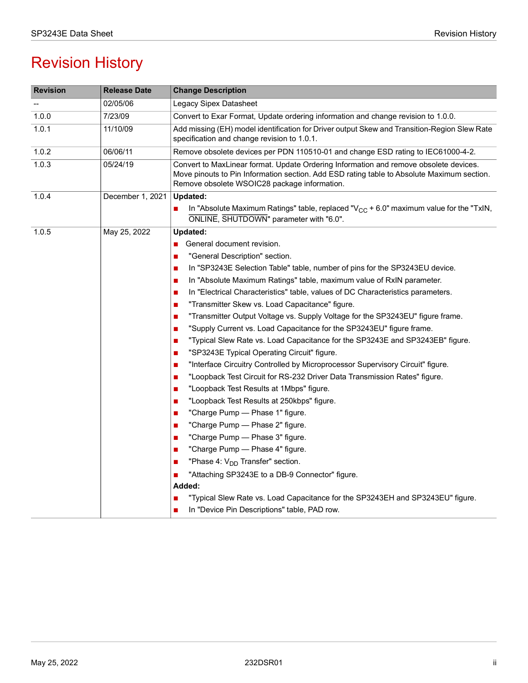# Revision History

| <b>Revision</b> | <b>Release Date</b> | <b>Change Description</b>                                                                                                                                                                                                           |  |  |  |  |
|-----------------|---------------------|-------------------------------------------------------------------------------------------------------------------------------------------------------------------------------------------------------------------------------------|--|--|--|--|
|                 | 02/05/06            | Legacy Sipex Datasheet                                                                                                                                                                                                              |  |  |  |  |
| 1.0.0           | 7/23/09             | Convert to Exar Format, Update ordering information and change revision to 1.0.0.                                                                                                                                                   |  |  |  |  |
| 1.0.1           | 11/10/09            | Add missing (EH) model identification for Driver output Skew and Transition-Region Slew Rate<br>specification and change revision to 1.0.1.                                                                                         |  |  |  |  |
| 1.0.2           | 06/06/11            | Remove obsolete devices per PDN 110510-01 and change ESD rating to IEC61000-4-2.                                                                                                                                                    |  |  |  |  |
| 1.0.3           | 05/24/19            | Convert to MaxLinear format. Update Ordering Information and remove obsolete devices.<br>Move pinouts to Pin Information section. Add ESD rating table to Absolute Maximum section.<br>Remove obsolete WSOIC28 package information. |  |  |  |  |
| 1.0.4           | December 1, 2021    | Updated:                                                                                                                                                                                                                            |  |  |  |  |
|                 |                     | In "Absolute Maximum Ratings" table, replaced " $V_{CC}$ + 6.0" maximum value for the "TxIN,<br>П<br>ONLINE, SHUTDOWN" parameter with "6.0".                                                                                        |  |  |  |  |
| 1.0.5           | May 25, 2022        | Updated:                                                                                                                                                                                                                            |  |  |  |  |
|                 |                     | General document revision.<br>$\blacksquare$                                                                                                                                                                                        |  |  |  |  |
|                 |                     | "General Description" section.<br>П                                                                                                                                                                                                 |  |  |  |  |
|                 |                     | In "SP3243E Selection Table" table, number of pins for the SP3243EU device.<br>п                                                                                                                                                    |  |  |  |  |
|                 |                     | In "Absolute Maximum Ratings" table, maximum value of RxIN parameter.<br>п                                                                                                                                                          |  |  |  |  |
|                 |                     | In "Electrical Characteristics" table, values of DC Characteristics parameters.<br>п                                                                                                                                                |  |  |  |  |
|                 |                     | "Transmitter Skew vs. Load Capacitance" figure.<br>$\blacksquare$                                                                                                                                                                   |  |  |  |  |
|                 |                     | "Transmitter Output Voltage vs. Supply Voltage for the SP3243EU" figure frame.<br>$\blacksquare$                                                                                                                                    |  |  |  |  |
|                 |                     | "Supply Current vs. Load Capacitance for the SP3243EU" figure frame.<br>$\blacksquare$                                                                                                                                              |  |  |  |  |
|                 |                     | "Typical Slew Rate vs. Load Capacitance for the SP3243E and SP3243EB" figure.<br>п                                                                                                                                                  |  |  |  |  |
|                 |                     | "SP3243E Typical Operating Circuit" figure.<br>п                                                                                                                                                                                    |  |  |  |  |
|                 |                     | "Interface Circuitry Controlled by Microprocessor Supervisory Circuit" figure.<br>$\blacksquare$                                                                                                                                    |  |  |  |  |
|                 |                     | "Loopback Test Circuit for RS-232 Driver Data Transmission Rates" figure.<br>П                                                                                                                                                      |  |  |  |  |
|                 |                     | "Loopback Test Results at 1Mbps" figure.<br>$\blacksquare$                                                                                                                                                                          |  |  |  |  |
|                 |                     | "Loopback Test Results at 250kbps" figure.<br>П                                                                                                                                                                                     |  |  |  |  |
|                 |                     | "Charge Pump - Phase 1" figure.<br>П                                                                                                                                                                                                |  |  |  |  |
|                 |                     | "Charge Pump - Phase 2" figure.<br>п                                                                                                                                                                                                |  |  |  |  |
|                 |                     | "Charge Pump - Phase 3" figure.<br>П                                                                                                                                                                                                |  |  |  |  |
|                 |                     | "Charge Pump - Phase 4" figure.<br>П                                                                                                                                                                                                |  |  |  |  |
|                 |                     | "Phase 4: V <sub>DD</sub> Transfer" section.<br>п                                                                                                                                                                                   |  |  |  |  |
|                 |                     | "Attaching SP3243E to a DB-9 Connector" figure.                                                                                                                                                                                     |  |  |  |  |
|                 |                     | Added:                                                                                                                                                                                                                              |  |  |  |  |
|                 |                     | "Typical Slew Rate vs. Load Capacitance for the SP3243EH and SP3243EU" figure.                                                                                                                                                      |  |  |  |  |
|                 |                     | In "Device Pin Descriptions" table, PAD row.<br>П                                                                                                                                                                                   |  |  |  |  |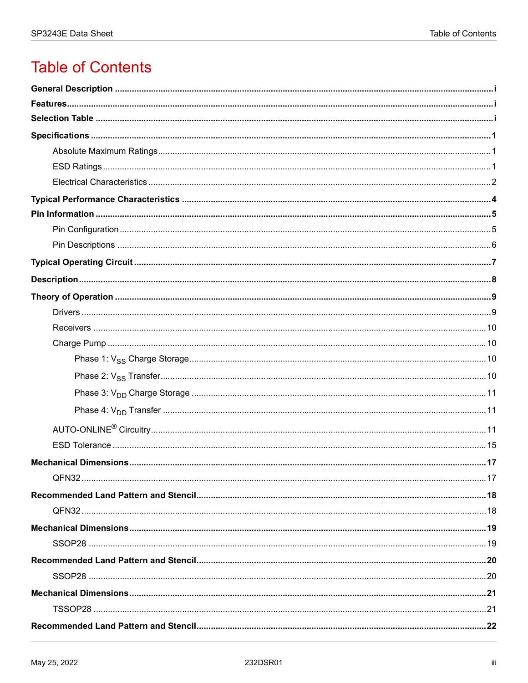# **Table of Contents**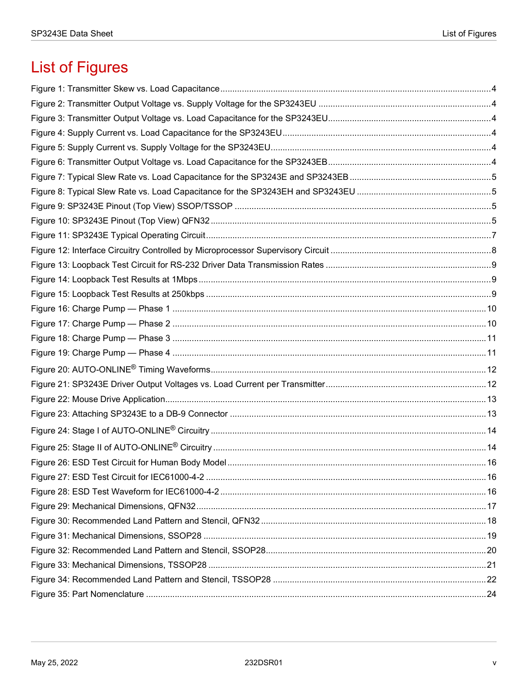# **List of Figures**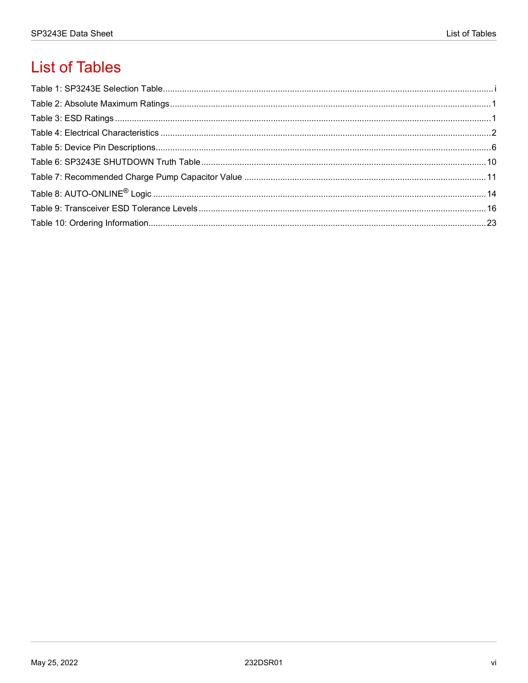# **List of Tables**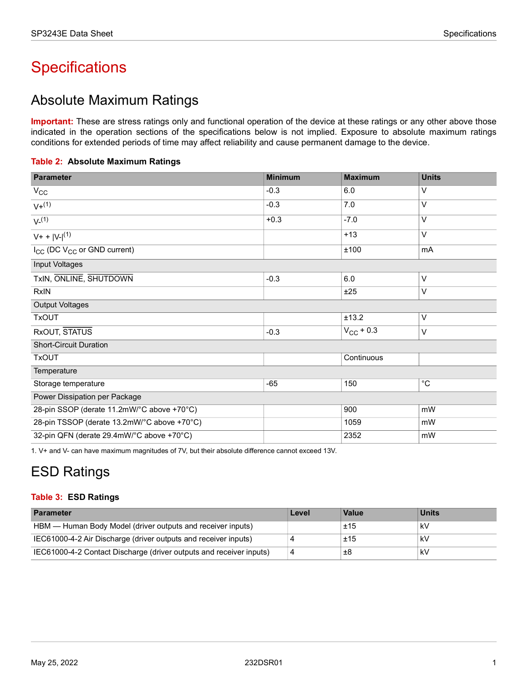# <span id="page-6-0"></span>**Specifications**

## <span id="page-6-1"></span>Absolute Maximum Ratings

**Important:** These are stress ratings only and functional operation of the device at these ratings or any other above those indicated in the operation sections of the specifications below is not implied. Exposure to absolute maximum ratings conditions for extended periods of time may affect reliability and cause permanent damage to the device.

<span id="page-6-3"></span>

|  |  | Table 2: Absolute Maximum Ratings |  |
|--|--|-----------------------------------|--|
|--|--|-----------------------------------|--|

| <b>Parameter</b>                                    | <b>Minimum</b> | <b>Maximum</b> | <b>Units</b> |
|-----------------------------------------------------|----------------|----------------|--------------|
| $V_{\rm CC}$                                        | $-0.3$         | 6.0            | V            |
| $V + (1)$                                           | $-0.3$         | 7.0            | V            |
| $V^{(1)}$                                           | $+0.3$         | $-7.0$         | V            |
| $V + +  V -  (1)$                                   |                | $+13$          | V            |
| I <sub>CC</sub> (DC V <sub>CC</sub> or GND current) |                | ±100           | mA           |
| Input Voltages                                      |                |                |              |
| TxIN, ONLINE, SHUTDOWN                              | $-0.3$         | 6.0            | V            |
| <b>RxIN</b>                                         |                | ±25            | V            |
| <b>Output Voltages</b>                              |                |                |              |
| <b>TxOUT</b>                                        |                | ±13.2          | V            |
| RxOUT, STATUS                                       | $-0.3$         | $V_{CC}$ + 0.3 | V            |
| <b>Short-Circuit Duration</b>                       |                |                |              |
| <b>TxOUT</b>                                        |                | Continuous     |              |
| Temperature                                         |                |                |              |
| Storage temperature                                 | $-65$          | 150            | $^{\circ}$ C |
| Power Dissipation per Package                       |                |                |              |
| 28-pin SSOP (derate 11.2mW/°C above +70°C)          |                | 900            | mW           |
| 28-pin TSSOP (derate 13.2mW/°C above +70°C)         |                | 1059           | mW           |
| 32-pin QFN (derate 29.4mW/°C above +70°C)           |                | 2352           | mW           |

1. V+ and V- can have maximum magnitudes of 7V, but their absolute difference cannot exceed 13V.

# <span id="page-6-2"></span>ESD Ratings

#### <span id="page-6-4"></span>**Table 3: ESD Ratings**

| <b>Parameter</b>                                                    | Level | <b>Value</b> | <b>Units</b> |
|---------------------------------------------------------------------|-------|--------------|--------------|
| HBM — Human Body Model (driver outputs and receiver inputs)         |       | ±15          | kV           |
| IEC61000-4-2 Air Discharge (driver outputs and receiver inputs)     |       | ±15          | kV           |
| IEC61000-4-2 Contact Discharge (driver outputs and receiver inputs) | 4     | ±8           | kV           |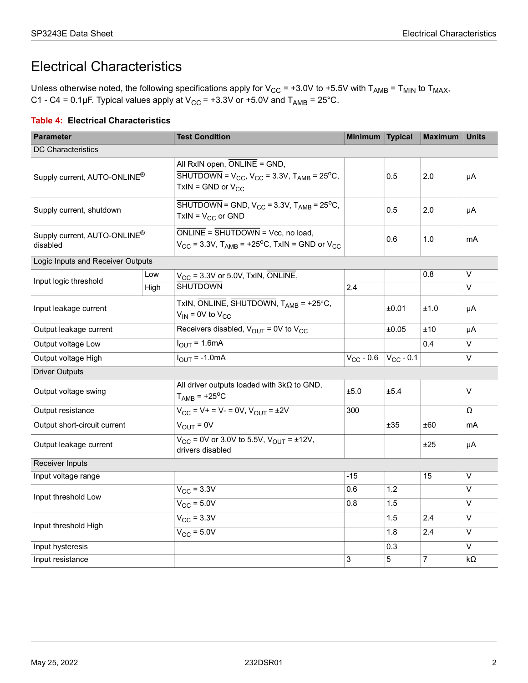### <span id="page-7-0"></span>Electrical Characteristics

Unless otherwise noted, the following specifications apply for V<sub>CC</sub> = +3.0V to +5.5V with T<sub>AMB</sub> = T<sub>MIN</sub> to T<sub>MAX</sub>, C1 - C4 = 0.1µF. Typical values apply at  $V_{CC}$  = +3.3V or +5.0V and T<sub>AMB</sub> = 25°C.

#### <span id="page-7-1"></span>**Table 4: Electrical Characteristics**

| <b>Parameter</b>                                     |      | <b>Test Condition</b>                                                                                                                | <b>Minimum</b> | <b>Typical</b> | <b>Maximum</b> | <b>Units</b>      |  |
|------------------------------------------------------|------|--------------------------------------------------------------------------------------------------------------------------------------|----------------|----------------|----------------|-------------------|--|
| <b>DC Characteristics</b>                            |      |                                                                                                                                      |                |                |                |                   |  |
| Supply current, AUTO-ONLINE <sup>®</sup>             |      | All RxIN open, ONLINE = GND,<br>SHUTDOWN = $V_{CC}$ , $V_{CC}$ = 3.3V, $T_{AMB}$ = 25 <sup>o</sup> C,<br>TxIN = GND or $V_{CC}$      |                | 0.5            | 2.0            | μA                |  |
| Supply current, shutdown                             |      | $\overline{\text{SHUTDOWN}}$ = GND, V <sub>CC</sub> = 3.3V, T <sub>AMB</sub> = 25 <sup>o</sup> C,<br>$TxIN = V_{CC}$ or GND          |                | 0.5            | 2.0            | μA                |  |
| Supply current, AUTO-ONLINE <sup>®</sup><br>disabled |      | $ONLINE = SHUTDOWN = Vec$ , no load,<br>$V_{\text{CC}}$ = 3.3V, T <sub>AMB</sub> = +25 <sup>o</sup> C, TxIN = GND or V <sub>CC</sub> |                | 0.6            | 1.0            | mA                |  |
| Logic Inputs and Receiver Outputs                    |      |                                                                                                                                      |                |                |                |                   |  |
| Input logic threshold                                | Low  | $V_{CC}$ = 3.3V or 5.0V, TxIN, ONLINE,                                                                                               |                |                | 0.8            | $\overline{\vee}$ |  |
|                                                      | High | <b>SHUTDOWN</b>                                                                                                                      | 2.4            |                |                | V                 |  |
| Input leakage current                                |      | TxIN, ONLINE, SHUTDOWN, $T_{AMB} = +25^{\circ}C$ ,<br>$V_{IN}$ = 0V to $V_{CC}$                                                      |                | ±0.01          | ±1.0           | μA                |  |
| Output leakage current                               |      | Receivers disabled, $V_{\text{OUT}} = 0V$ to $V_{\text{CC}}$                                                                         |                | ±0.05          | ±10            | μA                |  |
| Output voltage Low                                   |      | $I_{OUIT}$ = 1.6mA                                                                                                                   |                |                | 0.4            | V                 |  |
| Output voltage High                                  |      | $I_{\text{OUT}} = -1.0 \text{mA}$                                                                                                    | $V_{CC}$ - 0.6 | $V_{CC}$ - 0.1 |                | V                 |  |
| <b>Driver Outputs</b>                                |      |                                                                                                                                      |                |                |                |                   |  |
| Output voltage swing                                 |      | All driver outputs loaded with $3k\Omega$ to GND,<br>$T_{\text{AMB}}$ = +25 <sup>o</sup> C                                           | ±5.0           | ±5.4           |                | V                 |  |
| Output resistance                                    |      | $V_{CC}$ = V + = V - = 0V, $V_{OUT}$ = $\pm$ 2V                                                                                      | 300            |                |                | Ω                 |  |
| Output short-circuit current                         |      | $V_{OUT} = 0V$                                                                                                                       |                | $\pm 35$       | ±60            | mA                |  |
| Output leakage current                               |      | $V_{CC}$ = 0V or 3.0V to 5.5V, $V_{OUT}$ = ±12V,<br>drivers disabled                                                                 |                |                | ±25            | μA                |  |
| <b>Receiver Inputs</b>                               |      |                                                                                                                                      |                |                |                |                   |  |
| Input voltage range                                  |      |                                                                                                                                      | $-15$          |                | 15             | V                 |  |
| Input threshold Low                                  |      | $V_{\text{CC}} = 3.\overline{3V}$                                                                                                    | 0.6            | 1.2            |                | V                 |  |
|                                                      |      | $V_{CC}$ = 5.0V                                                                                                                      | 0.8            | 1.5            |                | V                 |  |
|                                                      |      | $V_{\text{CC}}$ = 3.3V                                                                                                               |                | 1.5            | 2.4            | V                 |  |
| Input threshold High                                 |      | $V_{CC}$ = 5.0V                                                                                                                      |                | 1.8            | 2.4            | V                 |  |
| Input hysteresis                                     |      |                                                                                                                                      |                | 0.3            |                | V                 |  |
| Input resistance                                     |      |                                                                                                                                      | 3              | 5              | 7              | $k\Omega$         |  |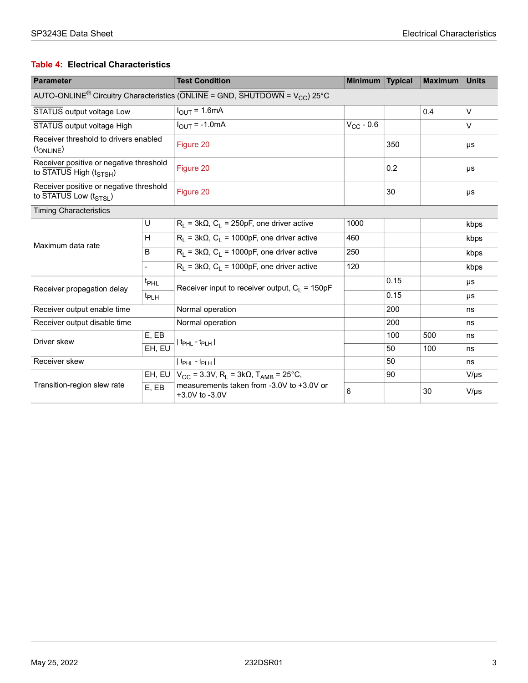#### **Table 4: Electrical Characteristics**

| <b>Parameter</b>                                                                                                 |                  | <b>Test Condition</b>                                           | <b>Minimum</b> | <b>Typical</b> | <b>Maximum</b> | <b>Units</b> |  |
|------------------------------------------------------------------------------------------------------------------|------------------|-----------------------------------------------------------------|----------------|----------------|----------------|--------------|--|
| AUTO-ONLINE <sup>®</sup> Circuitry Characteristics (ONLINE = GND, $\overline{SHUTDOWN}$ = V <sub>CC</sub> ) 25°C |                  |                                                                 |                |                |                |              |  |
| STATUS output voltage Low                                                                                        |                  | $I_{\text{OUT}} = 1.6 \text{mA}$                                |                |                | 0.4            | $\vee$       |  |
| STATUS output voltage High                                                                                       |                  | $I_{OUT} = -1.0mA$                                              | $V_{CC}$ - 0.6 |                |                | V            |  |
| Receiver threshold to drivers enabled<br>(t <sub>ONLINE</sub> )                                                  |                  | Figure 20                                                       |                | 350            |                | μs           |  |
| Receiver positive or negative threshold<br>to STATUS High (t <sub>STSH</sub> )                                   |                  | Figure 20                                                       |                | 0.2            |                | μs           |  |
| Receiver positive or negative threshold<br>to STATUS Low $(t_{STSI})$                                            |                  | Figure 20                                                       |                | 30             |                | μs           |  |
| <b>Timing Characteristics</b>                                                                                    |                  |                                                                 |                |                |                |              |  |
|                                                                                                                  | U                | $R_1$ = 3k $\Omega$ , $C_1$ = 250pF, one driver active          | 1000           |                |                | kbps         |  |
| Maximum data rate                                                                                                | H                | $R_L$ = 3k $\Omega$ , $C_L$ = 1000pF, one driver active         | 460            |                |                | kbps         |  |
|                                                                                                                  | B                | $R_L$ = 3k $\Omega$ , $C_L$ = 1000pF, one driver active         | 250            |                |                | kbps         |  |
|                                                                                                                  |                  | $R_1 = 3k\Omega$ , $C_1 = 1000pF$ , one driver active           | 120            |                |                | kbps         |  |
| Receiver propagation delay                                                                                       | t <sub>PHL</sub> | Receiver input to receiver output, $C_1 = 150pF$                |                | 0.15           |                | μs           |  |
|                                                                                                                  | t <sub>PLH</sub> |                                                                 |                | 0.15           |                | μs           |  |
| Receiver output enable time                                                                                      |                  | Normal operation                                                |                | 200            |                | ns           |  |
| Receiver output disable time                                                                                     |                  | Normal operation                                                |                | 200            |                | ns           |  |
| Driver skew                                                                                                      | E. EB            | t <sub>PHL</sub> - t <sub>PLH</sub>                             |                | 100            | 500            | ns           |  |
|                                                                                                                  | EH, EU           |                                                                 |                | 50             | 100            | ns           |  |
| Receiver skew                                                                                                    |                  | $ t_{\text{PHL}} - t_{\text{PLH}} $                             |                | 50             |                | ns           |  |
|                                                                                                                  | EH, EU           | $V_{CC}$ = 3.3V, R <sub>I</sub> = 3kQ, T <sub>AMB</sub> = 25°C, |                | 90             |                | $V/\mu s$    |  |
| Transition-region slew rate                                                                                      | E, EB            | measurements taken from -3.0V to +3.0V or<br>+3.0V to -3.0V     | 6              |                | 30             | $V/\mu s$    |  |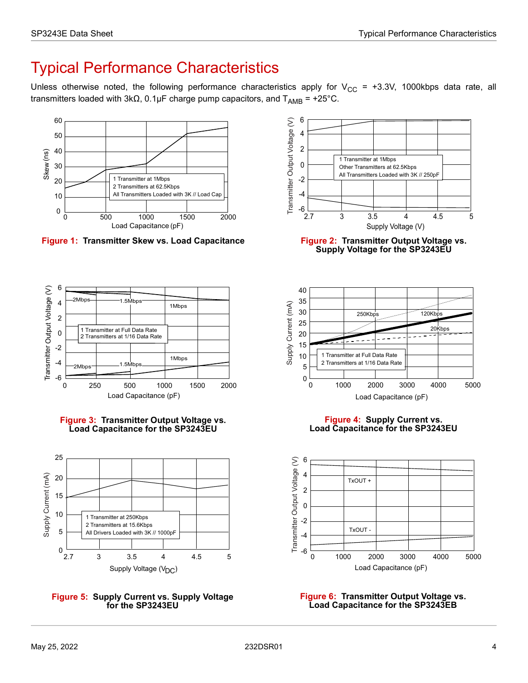# <span id="page-9-0"></span>Typical Performance Characteristics

Unless otherwise noted, the following performance characteristics apply for  $V_{CC}$  = +3.3V, 1000kbps data rate, all transmitters loaded with 3kΩ, 0.1µF charge pump capacitors, and  $T_{AMB}$  = +25°C.



<span id="page-9-1"></span>**Figure 1: Transmitter Skew vs. Load Capacitance Figure 2: Transmitter Output Voltage vs.** 



<span id="page-9-3"></span>



<span id="page-9-5"></span>



<span id="page-9-2"></span>**Supply Voltage for the SP3243EU**



**Figure 4: Supply Current vs. Load Capacitance for the SP3243EU**

<span id="page-9-4"></span>

<span id="page-9-6"></span>**Figure 6: Transmitter Output Voltage vs. Load Capacitance for the SP3243EB**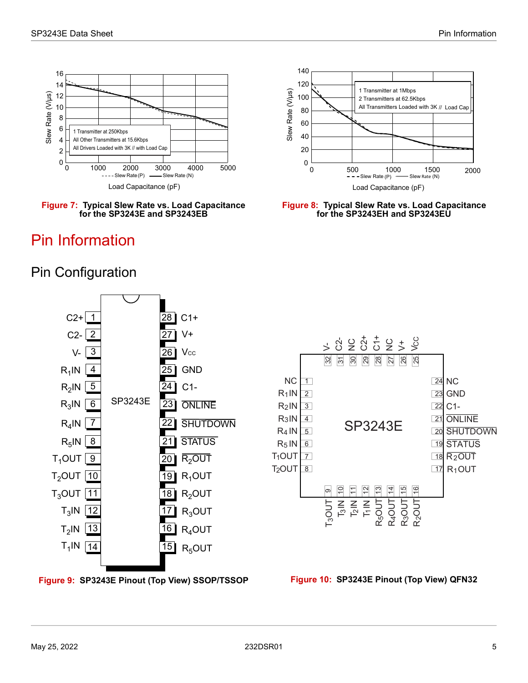

<span id="page-10-2"></span>

# <span id="page-10-0"></span>Pin Information

<span id="page-10-1"></span>Pin Configuration



<span id="page-10-3"></span>**Figure 8: Typical Slew Rate vs. Load Capacitance for the SP3243EH and SP3243EU**



<span id="page-10-4"></span>



<span id="page-10-5"></span>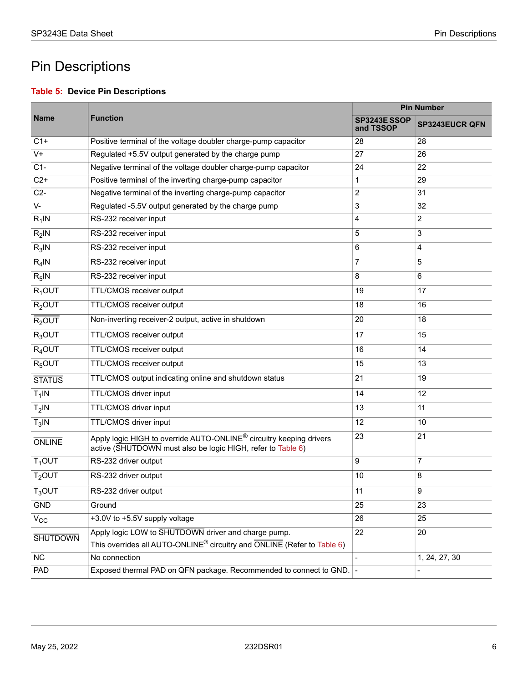# <span id="page-11-0"></span>Pin Descriptions

#### <span id="page-11-1"></span>**Table 5: Device Pin Descriptions**

|                    |                                                                                                                                                | <b>Pin Number</b>         |                       |  |  |
|--------------------|------------------------------------------------------------------------------------------------------------------------------------------------|---------------------------|-----------------------|--|--|
| <b>Name</b>        | <b>Function</b>                                                                                                                                | SP3243E SSOP<br>and TSSOP | <b>SP3243EUCR QFN</b> |  |  |
| $C1+$              | Positive terminal of the voltage doubler charge-pump capacitor                                                                                 | 28                        | 28                    |  |  |
| $V +$              | Regulated +5.5V output generated by the charge pump                                                                                            | 27                        | 26                    |  |  |
| $C1-$              | Negative terminal of the voltage doubler charge-pump capacitor                                                                                 | 24                        | 22                    |  |  |
| $C2+$              | Positive terminal of the inverting charge-pump capacitor                                                                                       | 1                         | 29                    |  |  |
| $C2-$              | Negative terminal of the inverting charge-pump capacitor                                                                                       | 2                         | 31                    |  |  |
| $V -$              | Regulated -5.5V output generated by the charge pump                                                                                            | 3                         | 32                    |  |  |
| $R_1$ IN           | RS-232 receiver input                                                                                                                          | 4                         | $\overline{c}$        |  |  |
| $R_2$ IN           | RS-232 receiver input                                                                                                                          | 5                         | 3                     |  |  |
| $R_3$ IN           | RS-232 receiver input                                                                                                                          | 6                         | $\overline{4}$        |  |  |
| $R_4$ IN           | RS-232 receiver input                                                                                                                          | 7                         | 5                     |  |  |
| $R_5$ IN           | RS-232 receiver input                                                                                                                          | 8                         | 6                     |  |  |
| $R_1$ OUT          | TTL/CMOS receiver output                                                                                                                       | 19                        | 17                    |  |  |
| $R2$ OUT           | TTL/CMOS receiver output                                                                                                                       | 18                        | 16                    |  |  |
| R <sub>2</sub> OUT | Non-inverting receiver-2 output, active in shutdown                                                                                            | 20                        | 18                    |  |  |
| $R_3$ OUT          | TTL/CMOS receiver output                                                                                                                       | 17                        | 15                    |  |  |
| $R_4$ OUT          | TTL/CMOS receiver output                                                                                                                       | 16                        | 14                    |  |  |
| $R_5$ OUT          | TTL/CMOS receiver output                                                                                                                       | 15                        | 13                    |  |  |
| <b>STATUS</b>      | TTL/CMOS output indicating online and shutdown status                                                                                          | 21                        | 19                    |  |  |
| $T_1$ IN           | TTL/CMOS driver input                                                                                                                          | 14                        | 12                    |  |  |
| $T_2$ IN           | TTL/CMOS driver input                                                                                                                          | 13                        | 11                    |  |  |
| $T_3$ IN           | TTL/CMOS driver input                                                                                                                          | 12                        | 10                    |  |  |
| <b>ONLINE</b>      | Apply logic HIGH to override AUTO-ONLINE <sup>®</sup> circuitry keeping drivers<br>active (SHUTDOWN must also be logic HIGH, refer to Table 6) | 23                        | 21                    |  |  |
| $T_1$ OUT          | RS-232 driver output                                                                                                                           | 9                         | $\overline{7}$        |  |  |
| $T2$ OUT           | RS-232 driver output                                                                                                                           | 10                        | 8                     |  |  |
| $T_3$ OUT          | RS-232 driver output                                                                                                                           | 11                        | 9                     |  |  |
| <b>GND</b>         | Ground                                                                                                                                         | 25                        | 23                    |  |  |
| $V_{\rm CC}$       | +3.0V to +5.5V supply voltage                                                                                                                  | 26                        | 25                    |  |  |
| <b>SHUTDOWN</b>    | Apply logic LOW to SHUTDOWN driver and charge pump.                                                                                            | 22                        | 20                    |  |  |
|                    | This overrides all AUTO-ONLINE <sup>®</sup> circuitry and $\overline{ONLINE}$ (Refer to Table 6)                                               |                           |                       |  |  |
| $\overline{NC}$    | No connection                                                                                                                                  |                           | 1, 24, 27, 30         |  |  |
| PAD                | Exposed thermal PAD on QFN package. Recommended to connect to GND.                                                                             |                           |                       |  |  |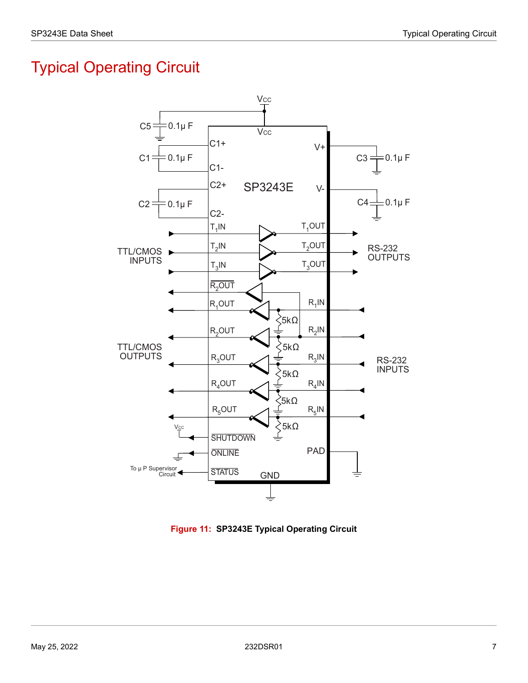# <span id="page-12-0"></span>Typical Operating Circuit



<span id="page-12-1"></span>**Figure 11: SP3243E Typical Operating Circuit**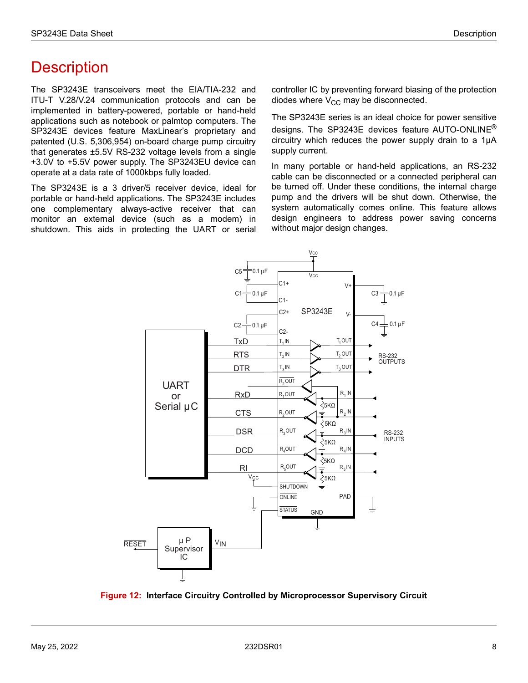# <span id="page-13-0"></span>**Description**

The SP3243E transceivers meet the EIA/TIA-232 and ITU-T V.28/V.24 communication protocols and can be implemented in battery-powered, portable or hand-held applications such as notebook or palmtop computers. The SP3243E devices feature MaxLinear's proprietary and patented (U.S. 5,306,954) on-board charge pump circuitry that generates ±5.5V RS-232 voltage levels from a single +3.0V to +5.5V power supply. The SP3243EU device can operate at a data rate of 1000kbps fully loaded.

The SP3243E is a 3 driver/5 receiver device, ideal for portable or hand-held applications. The SP3243E includes one complementary always-active receiver that can monitor an external device (such as a modem) in shutdown. This aids in protecting the UART or serial controller IC by preventing forward biasing of the protection diodes where  $V_{CC}$  may be disconnected.

The SP3243E series is an ideal choice for power sensitive designs. The SP3243E devices feature AUTO-ONLINE<sup>®</sup> circuitry which reduces the power supply drain to a 1µA supply current.

In many portable or hand-held applications, an RS-232 cable can be disconnected or a connected peripheral can be turned off. Under these conditions, the internal charge pump and the drivers will be shut down. Otherwise, the system automatically comes online. This feature allows design engineers to address power saving concerns without major design changes.



<span id="page-13-1"></span>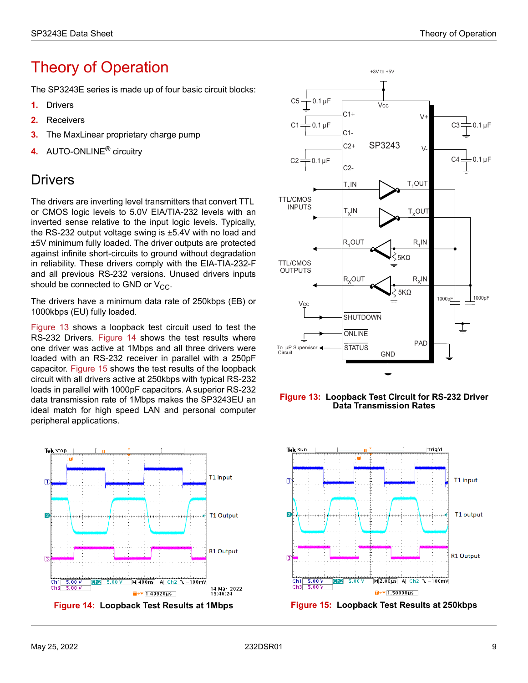# <span id="page-14-0"></span>Theory of Operation

The SP3243E series is made up of four basic circuit blocks:

- **1.** Drivers
- **2.** Receivers
- **3.** The MaxLinear proprietary charge pump
- **4.** AUTO-ONLINE® circuitry

### <span id="page-14-1"></span>**Drivers**

The drivers are inverting level transmitters that convert TTL or CMOS logic levels to 5.0V EIA/TIA-232 levels with an inverted sense relative to the input logic levels. Typically, the RS-232 output voltage swing is ±5.4V with no load and ±5V minimum fully loaded. The driver outputs are protected against infinite short-circuits to ground without degradation in reliability. These drivers comply with the EIA-TIA-232-F and all previous RS-232 versions. Unused drivers inputs should be connected to GND or  $V_{CC}$ .

The drivers have a minimum data rate of 250kbps (EB) or 1000kbps (EU) fully loaded.

[Figure 13](#page-14-2) shows a loopback test circuit used to test the RS-232 Drivers. [Figure 14](#page-14-3) shows the test results where one driver was active at 1Mbps and all three drivers were loaded with an RS-232 receiver in parallel with a 250pF capacitor. [Figure 15](#page-14-4) shows the test results of the loopback circuit with all drivers active at 250kbps with typical RS-232 loads in parallel with 1000pF capacitors. A superior RS-232 data transmission rate of 1Mbps makes the SP3243EU an ideal match for high speed LAN and personal computer peripheral applications.







<span id="page-14-2"></span>

<span id="page-14-4"></span>

<span id="page-14-3"></span>**Figure 14: Loopback Test Results at 1Mbps Figure 15: Loopback Test Results at 250kbps**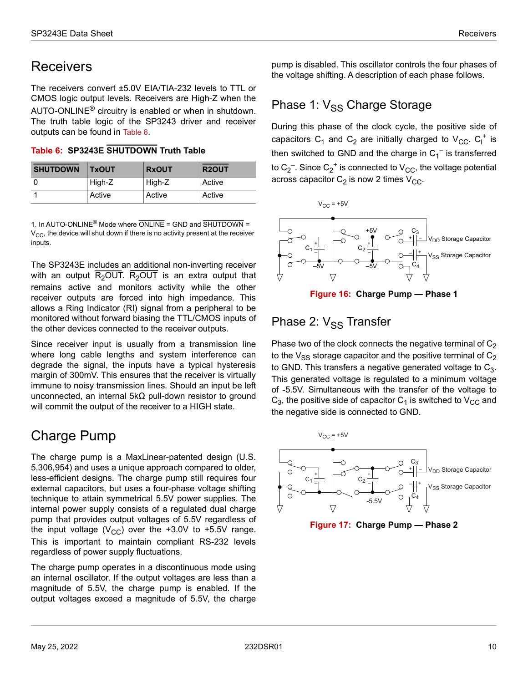### <span id="page-15-0"></span>**Receivers**

The receivers convert ±5.0V EIA/TIA-232 levels to TTL or CMOS logic output levels. Receivers are High-Z when the AUTO-ONLINE® circuitry is enabled or when in shutdown. The truth table logic of the SP3243 driver and receiver outputs can be found in [Table 6.](#page-15-6)

<span id="page-15-6"></span>**Table 6: SP3243E SHUTDOWN Truth Table**

| <b>SHUTDOWN</b> | <b>TxOUT</b> | <b>RxOUT</b> | R <sub>2</sub> OUT |
|-----------------|--------------|--------------|--------------------|
|                 | High-Z       | High-Z       | Active             |
|                 | Active       | Active       | Active             |

1. In AUTO-ONLINE® Mode where ONLINE = GND and SHUTDOWN =  $V_{CC}$ , the device will shut down if there is no activity present at the receiver inputs.

The SP3243E includes an additional non-inverting receiver with an output R<sub>2</sub>OUT. R<sub>2</sub>OUT is an extra output that remains active and monitors activity while the other receiver outputs are forced into high impedance. This allows a Ring Indicator (RI) signal from a peripheral to be monitored without forward biasing the TTL/CMOS inputs of the other devices connected to the receiver outputs.

Since receiver input is usually from a transmission line where long cable lengths and system interference can degrade the signal, the inputs have a typical hysteresis margin of 300mV. This ensures that the receiver is virtually immune to noisy transmission lines. Should an input be left unconnected, an internal 5kΩ pull-down resistor to ground will commit the output of the receiver to a HIGH state.

## <span id="page-15-1"></span>Charge Pump

The charge pump is a MaxLinear-patented design (U.S. 5,306,954) and uses a unique approach compared to older, less-efficient designs. The charge pump still requires four external capacitors, but uses a four-phase voltage shifting technique to attain symmetrical 5.5V power supplies. The internal power supply consists of a regulated dual charge pump that provides output voltages of 5.5V regardless of the input voltage ( $V_{CC}$ ) over the +3.0V to +5.5V range. This is important to maintain compliant RS-232 levels regardless of power supply fluctuations.

The charge pump operates in a discontinuous mode using an internal oscillator. If the output voltages are less than a magnitude of 5.5V, the charge pump is enabled. If the output voltages exceed a magnitude of 5.5V, the charge pump is disabled. This oscillator controls the four phases of the voltage shifting. A description of each phase follows.

### <span id="page-15-2"></span>Phase 1:  $V_{SS}$  Charge Storage

During this phase of the clock cycle, the positive side of capacitors  $C_1$  and  $C_2$  are initially charged to  $V_{CC}$ .  $C_1^+$  is then switched to GND and the charge in  $\mathsf{C_1}^-$  is transferred to C $_2^-$ . Since C $_2^+$  is connected to V $_{\rm CC}$ , the voltage potential across capacitor  $C_2$  is now 2 times  $V_{CC}$ .



### <span id="page-15-4"></span><span id="page-15-3"></span>Phase 2:  $V_{SS}$  Transfer

Phase two of the clock connects the negative terminal of  $C_2$ to the  $V_{SS}$  storage capacitor and the positive terminal of  $C_2$ to GND. This transfers a negative generated voltage to  $C_3$ . This generated voltage is regulated to a minimum voltage of -5.5V. Simultaneous with the transfer of the voltage to  $C_3$ , the positive side of capacitor  $C_1$  is switched to  $V_{CC}$  and the negative side is connected to GND.



<span id="page-15-5"></span>**Figure 17: Charge Pump — Phase 2**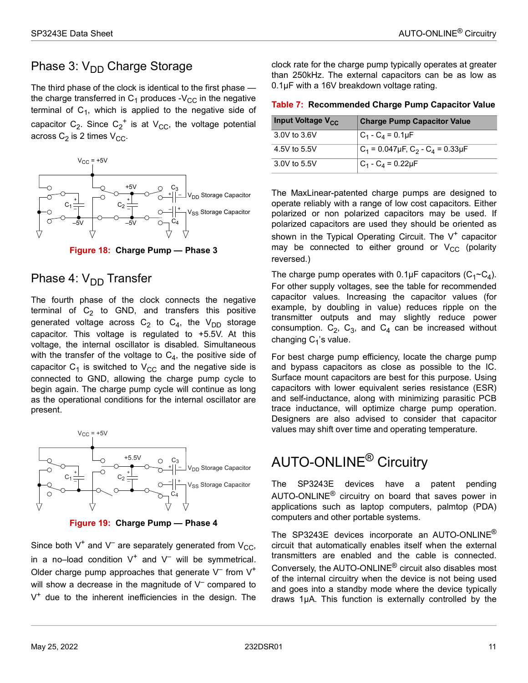### <span id="page-16-0"></span>Phase 3:  $V_{DD}$  Charge Storage

The third phase of the clock is identical to the first phase the charge transferred in  $C_1$  produces -V<sub>CC</sub> in the negative terminal of  $C_1$ , which is applied to the negative side of capacitor  $C_2$ . Since  $C_2^+$  is at  $V_{CC}$ , the voltage potential across  $C_2$  is 2 times  $V_{CC}$ .



**Figure 18: Charge Pump — Phase 3**

### <span id="page-16-3"></span><span id="page-16-1"></span>Phase 4:  $V_{DD}$  Transfer

The fourth phase of the clock connects the negative terminal of  $C_2$  to GND, and transfers this positive generated voltage across  $C_2$  to  $C_4$ , the  $V_{DD}$  storage capacitor. This voltage is regulated to +5.5V. At this voltage, the internal oscillator is disabled. Simultaneous with the transfer of the voltage to  $C_4$ , the positive side of capacitor  $C_1$  is switched to  $V_{CC}$  and the negative side is connected to GND, allowing the charge pump cycle to begin again. The charge pump cycle will continue as long as the operational conditions for the internal oscillator are present.



<span id="page-16-4"></span>Since both  $V^+$  and  $V^-$  are separately generated from  $V_{CC}$ , in a no-load condition  $V^+$  and  $V^-$  will be symmetrical. Older charge pump approaches that generate  $V^-$  from  $V^+$ will show a decrease in the magnitude of  $V^-$  compared to  $V^+$  due to the inherent inefficiencies in the design. The clock rate for the charge pump typically operates at greater than 250kHz. The external capacitors can be as low as 0.1µF with a 16V breakdown voltage rating.

<span id="page-16-5"></span>

| Input Voltage V <sub>CC</sub> | <b>Charge Pump Capacitor Value</b>                         |
|-------------------------------|------------------------------------------------------------|
| 3.0V to 3.6V                  | $C_1 - C_4 = 0.1 \mu F$                                    |
| 4.5V to 5.5V                  | $ C_1$ = 0.047µF, C <sub>2</sub> - C <sub>4</sub> = 0.33µF |
| 3.0V to 5.5V                  | $C_1 - C_4 = 0.22 \mu F$                                   |

The MaxLinear-patented charge pumps are designed to operate reliably with a range of low cost capacitors. Either polarized or non polarized capacitors may be used. If polarized capacitors are used they should be oriented as shown in the Typical Operating Circuit. The  $V^+$  capacitor may be connected to either ground or  $V_{CC}$  (polarity reversed.)

The charge pump operates with  $0.1 \mu$ F capacitors (C<sub>1</sub>~C<sub>4</sub>). For other supply voltages, see the table for recommended capacitor values. Increasing the capacitor values (for example, by doubling in value) reduces ripple on the transmitter outputs and may slightly reduce power consumption.  $C_2$ ,  $C_3$ , and  $C_4$  can be increased without changing  $C_1$ 's value.

For best charge pump efficiency, locate the charge pump and bypass capacitors as close as possible to the IC. Surface mount capacitors are best for this purpose. Using capacitors with lower equivalent series resistance (ESR) and self-inductance, along with minimizing parasitic PCB trace inductance, will optimize charge pump operation. Designers are also advised to consider that capacitor values may shift over time and operating temperature.

# <span id="page-16-2"></span>AUTO-ONLINE® Circuitry

The SP3243E devices have a patent pending AUTO-ONLINE® circuitry on board that saves power in applications such as laptop computers, palmtop (PDA) computers and other portable systems.

The SP3243E devices incorporate an AUTO-ONLINE<sup>®</sup> circuit that automatically enables itself when the external transmitters are enabled and the cable is connected. Conversely, the AUTO-ONLINE® circuit also disables most of the internal circuitry when the device is not being used and goes into a standby mode where the device typically draws 1µA. This function is externally controlled by the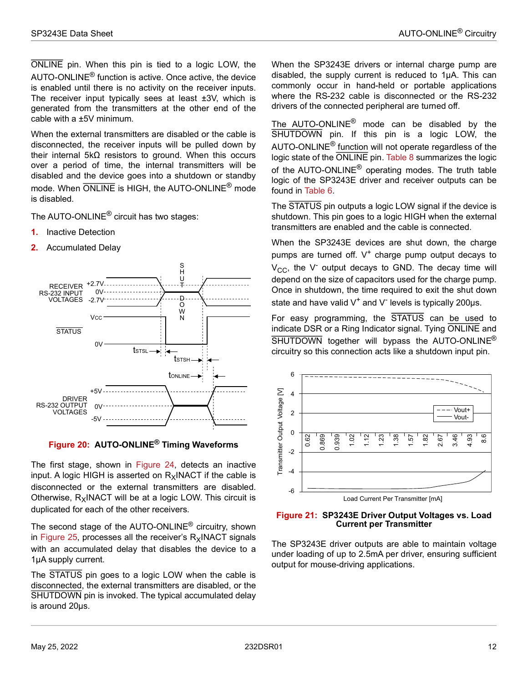ONLINE pin. When this pin is tied to a logic LOW, the AUTO-ONLINE® function is active. Once active, the device is enabled until there is no activity on the receiver inputs. The receiver input typically sees at least ±3V, which is generated from the transmitters at the other end of the cable with a ±5V minimum.

When the external transmitters are disabled or the cable is disconnected, the receiver inputs will be pulled down by their internal 5kΩ resistors to ground. When this occurs over a period of time, the internal transmitters will be disabled and the device goes into a shutdown or standby mode. When ONLINE is HIGH, the AUTO-ONLINE<sup>®</sup> mode is disabled.

The AUTO-ONLINE® circuit has two stages:

- **1.** Inactive Detection
- **2.** Accumulated Delay



#### <span id="page-17-0"></span>**Figure 20: AUTO-ONLINE® Timing Waveforms**

The first stage, shown in [Figure 24](#page-19-0), detects an inactive input. A logic HIGH is asserted on  $R_X$ INACT if the cable is disconnected or the external transmitters are disabled. Otherwise,  $R_X$ INACT will be at a logic LOW. This circuit is duplicated for each of the other receivers.

The second stage of the AUTO-ONLINE® circuitry, shown in [Figure 25,](#page-19-1) processes all the receiver's  $R_x$ INACT signals with an accumulated delay that disables the device to a 1µA supply current.

The STATUS pin goes to a logic LOW when the cable is disconnected, the external transmitters are disabled, or the SHUTDOWN pin is invoked. The typical accumulated delay is around 20µs.

When the SP3243E drivers or internal charge pump are disabled, the supply current is reduced to 1µA. This can commonly occur in hand-held or portable applications where the RS-232 cable is disconnected or the RS-232 drivers of the connected peripheral are turned off.

The AUTO-ONLINE® mode can be disabled by the SHUTDOWN pin. If this pin is a logic LOW, the AUTO-ONLINE® function will not operate regardless of the logic state of the ONLINE pin. [Table 8](#page-19-2) summarizes the logic of the AUTO-ONLINE<sup>®</sup> operating modes. The truth table logic of the SP3243E driver and receiver outputs can be found in [Table 6.](#page-15-6)

The STATUS pin outputs a logic LOW signal if the device is shutdown. This pin goes to a logic HIGH when the external transmitters are enabled and the cable is connected.

When the SP3243E devices are shut down, the charge pumps are turned off.  $V^+$  charge pump output decays to  $V_{\text{CC}}$ , the V<sup>-</sup> output decays to GND. The decay time will depend on the size of capacitors used for the charge pump. Once in shutdown, the time required to exit the shut down state and have valid  $V^+$  and  $V^-$  levels is typically 200µs.

For easy programming, the STATUS can be used to indicate DSR or a Ring Indicator signal. Tying ONLINE and SHUTDOWN together will bypass the AUTO-ONLINE<sup>®</sup> circuitry so this connection acts like a shutdown input pin.



<span id="page-17-1"></span>

The SP3243E driver outputs are able to maintain voltage under loading of up to 2.5mA per driver, ensuring sufficient output for mouse-driving applications.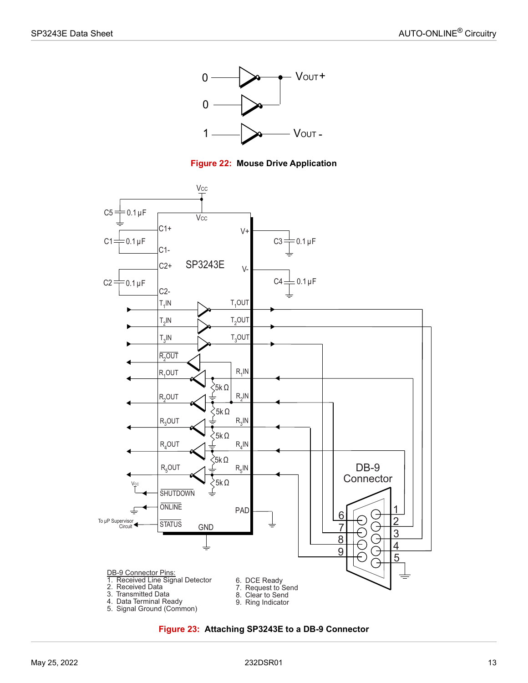



<span id="page-18-0"></span>

<span id="page-18-1"></span>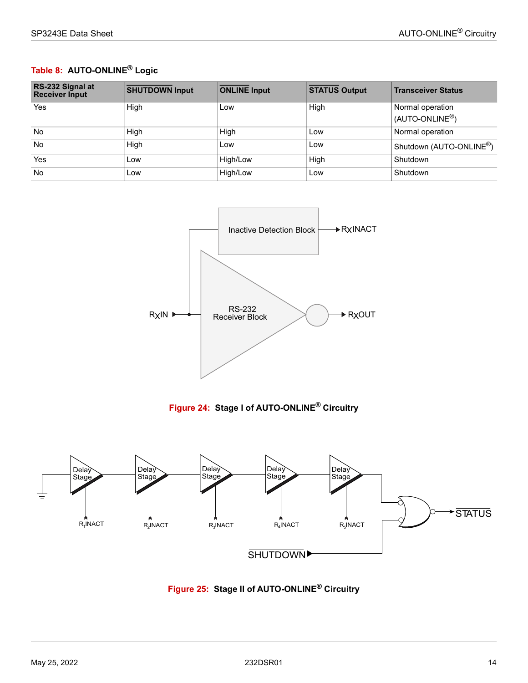### <span id="page-19-2"></span>**Table 8: AUTO-ONLINE® Logic**

| RS-232 Signal at<br><b>Receiver Input</b> | <b>SHUTDOWN Input</b> | <b>ONLINE Input</b> | <b>STATUS Output</b> | <b>Transceiver Status</b>            |
|-------------------------------------------|-----------------------|---------------------|----------------------|--------------------------------------|
| Yes                                       | High                  | Low                 | High                 | Normal operation                     |
|                                           |                       |                     |                      | (AUTO-ONLINE <sup>®</sup> )          |
| <b>No</b>                                 | High                  | High                | Low                  | Normal operation                     |
| <b>No</b>                                 | High                  | Low                 | Low                  | Shutdown (AUTO-ONLINE <sup>®</sup> ) |
| Yes                                       | Low                   | High/Low            | High                 | Shutdown                             |
| <b>No</b>                                 | Low                   | High/Low            | Low                  | Shutdown                             |



**Figure 24: Stage I of AUTO-ONLINE® Circuitry**

<span id="page-19-1"></span><span id="page-19-0"></span>

**Figure 25: Stage II of AUTO-ONLINE® Circuitry**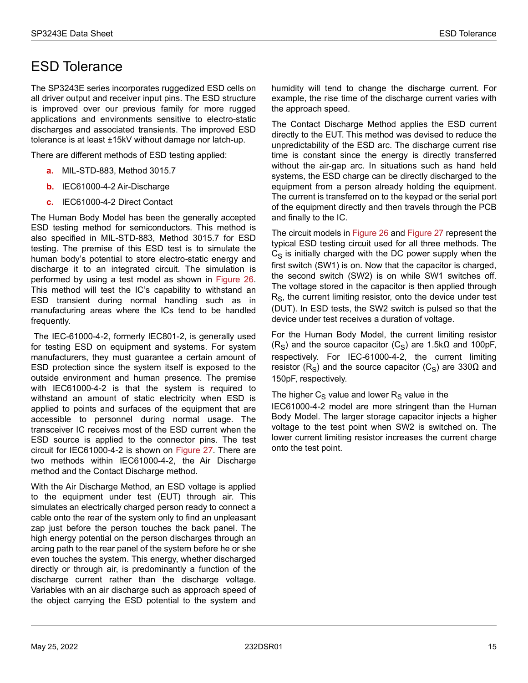### <span id="page-20-0"></span>ESD Tolerance

The SP3243E series incorporates ruggedized ESD cells on all driver output and receiver input pins. The ESD structure is improved over our previous family for more rugged applications and environments sensitive to electro-static discharges and associated transients. The improved ESD tolerance is at least ±15kV without damage nor latch-up.

There are different methods of ESD testing applied:

- **a.** MIL-STD-883, Method 3015.7
- **b.** IEC61000-4-2 Air-Discharge
- **c.** IEC61000-4-2 Direct Contact

The Human Body Model has been the generally accepted ESD testing method for semiconductors. This method is also specified in MIL-STD-883, Method 3015.7 for ESD testing. The premise of this ESD test is to simulate the human body's potential to store electro-static energy and discharge it to an integrated circuit. The simulation is performed by using a test model as shown in [Figure 26](#page-21-0). This method will test the IC's capability to withstand an ESD transient during normal handling such as in manufacturing areas where the ICs tend to be handled frequently.

 The IEC-61000-4-2, formerly IEC801-2, is generally used for testing ESD on equipment and systems. For system manufacturers, they must guarantee a certain amount of ESD protection since the system itself is exposed to the outside environment and human presence. The premise with IEC61000-4-2 is that the system is required to withstand an amount of static electricity when ESD is applied to points and surfaces of the equipment that are accessible to personnel during normal usage. The transceiver IC receives most of the ESD current when the ESD source is applied to the connector pins. The test circuit for IEC61000-4-2 is shown on [Figure 27.](#page-21-1) There are two methods within IEC61000-4-2, the Air Discharge method and the Contact Discharge method.

With the Air Discharge Method, an ESD voltage is applied to the equipment under test (EUT) through air. This simulates an electrically charged person ready to connect a cable onto the rear of the system only to find an unpleasant zap just before the person touches the back panel. The high energy potential on the person discharges through an arcing path to the rear panel of the system before he or she even touches the system. This energy, whether discharged directly or through air, is predominantly a function of the discharge current rather than the discharge voltage. Variables with an air discharge such as approach speed of the object carrying the ESD potential to the system and

humidity will tend to change the discharge current. For example, the rise time of the discharge current varies with the approach speed.

The Contact Discharge Method applies the ESD current directly to the EUT. This method was devised to reduce the unpredictability of the ESD arc. The discharge current rise time is constant since the energy is directly transferred without the air-gap arc. In situations such as hand held systems, the ESD charge can be directly discharged to the equipment from a person already holding the equipment. The current is transferred on to the keypad or the serial port of the equipment directly and then travels through the PCB and finally to the IC.

The circuit models in [Figure 26](#page-21-0) and [Figure 27](#page-21-1) represent the typical ESD testing circuit used for all three methods. The  $C<sub>S</sub>$  is initially charged with the DC power supply when the first switch (SW1) is on. Now that the capacitor is charged, the second switch (SW2) is on while SW1 switches off. The voltage stored in the capacitor is then applied through  $R<sub>S</sub>$ , the current limiting resistor, onto the device under test (DUT). In ESD tests, the SW2 switch is pulsed so that the device under test receives a duration of voltage.

For the Human Body Model, the current limiting resistor (R<sub>S</sub>) and the source capacitor (C<sub>S</sub>) are 1.5k $\Omega$  and 100pF, respectively. For IEC-61000-4-2, the current limiting resistor (R<sub>S</sub>) and the source capacitor (C<sub>S</sub>) are 330Ω and 150pF, respectively.

#### The higher  $C_S$  value and lower  $R_S$  value in the

IEC61000-4-2 model are more stringent than the Human Body Model. The larger storage capacitor injects a higher voltage to the test point when SW2 is switched on. The lower current limiting resistor increases the current charge onto the test point.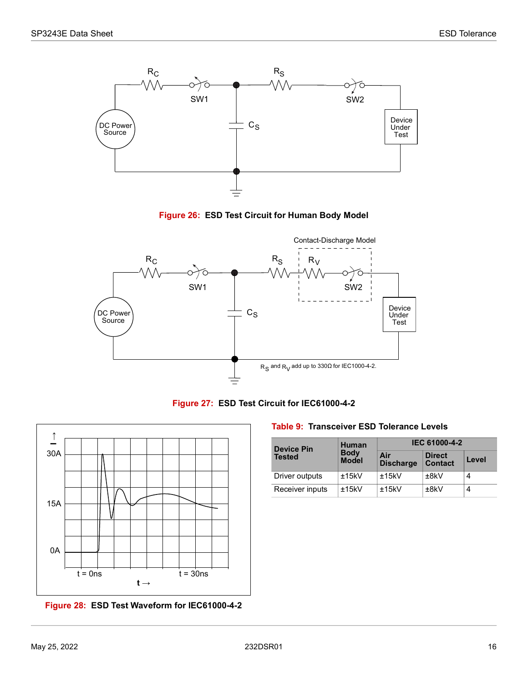

**Figure 26: ESD Test Circuit for Human Body Model**

<span id="page-21-0"></span>



<span id="page-21-1"></span>

<span id="page-21-2"></span>**Figure 28: ESD Test Waveform for IEC61000-4-2**

<span id="page-21-3"></span>**Table 9: Transceiver ESD Tolerance Levels**

| <b>Device Pin</b> | <b>Human</b>                | IEC 61000-4-2           |                                 |       |
|-------------------|-----------------------------|-------------------------|---------------------------------|-------|
| <b>Tested</b>     | <b>Body</b><br><b>Model</b> | Air<br><b>Discharge</b> | <b>Direct</b><br><b>Contact</b> | Level |
| Driver outputs    | ±15kV                       | ±15kV                   | ±8kV                            |       |
| Receiver inputs   | ±15kV                       | ±15kV                   | ±8kV                            |       |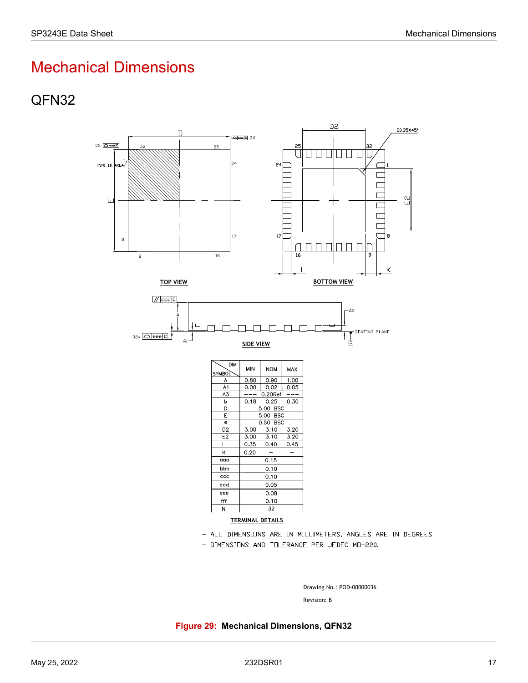# <span id="page-22-0"></span>Mechanical Dimensions

### <span id="page-22-1"></span>QFN32



- DIMENSIONS AND TOLERANCE PER JEDEC MO-220.

Drawing No.: POD-00000036<br>Revision: B

<span id="page-22-2"></span>**Figure 29: Mechanical Dimensions, QFN32**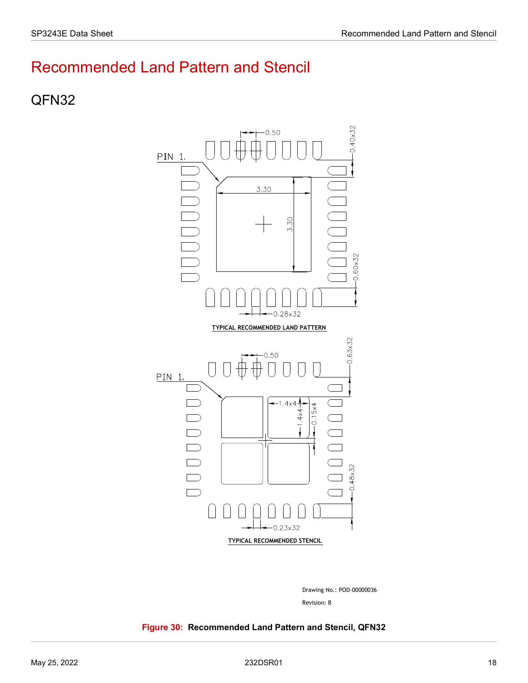# <span id="page-23-0"></span>Recommended Land Pattern and Stencil

### <span id="page-23-1"></span>QFN32



Revision: B Drawing No.: POD-00000036

#### <span id="page-23-2"></span>**Figure 30: Recommended Land Pattern and Stencil, QFN32**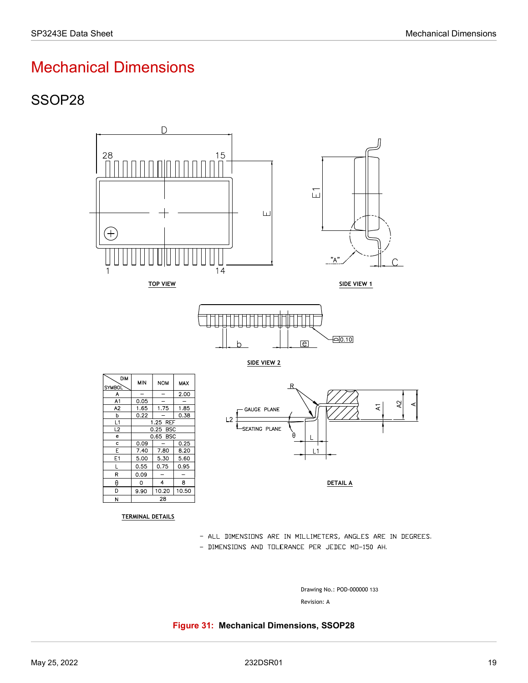# <span id="page-24-0"></span>Mechanical Dimensions

### <span id="page-24-1"></span>SSOP28



- DIMENSIONS AND TOLERANCE PER JEDEC MO-150 AH.

Drawing No.: POD-000000 133

#### <span id="page-24-2"></span>**Figure 31: Mechanical Dimensions, SSOP28**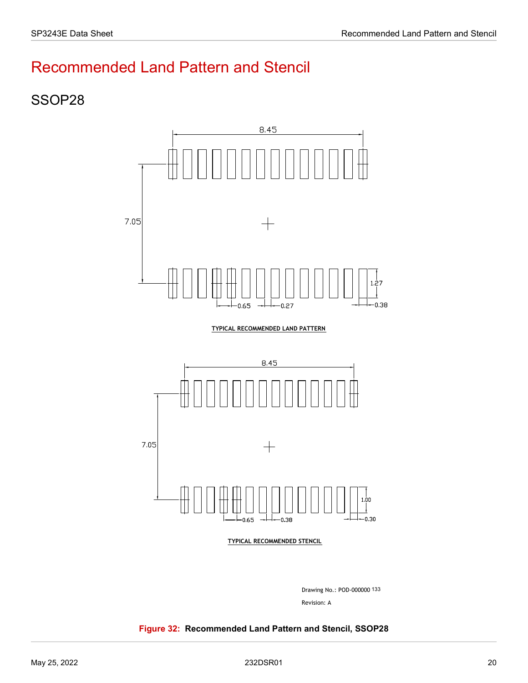# <span id="page-25-0"></span>Recommended Land Pattern and Stencil

### <span id="page-25-1"></span>SSOP28





Revision: A Drawing No.: POD-000000 Drawing No.: POD-000000 133

#### <span id="page-25-2"></span>**Figure 32: Recommended Land Pattern and Stencil, SSOP28**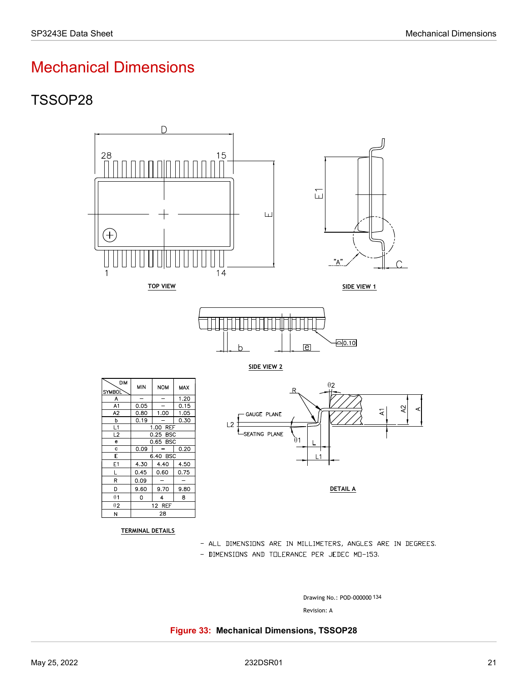# <span id="page-26-0"></span>Mechanical Dimensions

# <span id="page-26-1"></span>TSSOP28



- ALL DIMENSIONS ARE IN MILLIMETERS, ANGLES ARE IN DEGREES.
- DIMENSIONS AND TOLERANCE PER JEDEC MO-153.

Drawing No.: POD-000000 134

#### <span id="page-26-2"></span>**Figure 33: Mechanical Dimensions, TSSOP28**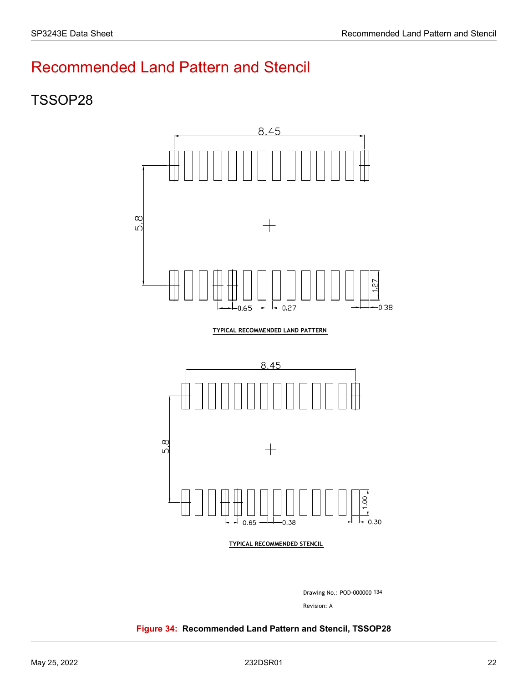# <span id="page-27-0"></span>Recommended Land Pattern and Stencil

### <span id="page-27-1"></span>TSSOP28



TYPICAL RECOMMENDED LAND PATTERN



Revision: A Drawing No.: POD-000000 134

#### <span id="page-27-2"></span>**Figure 34: Recommended Land Pattern and Stencil, TSSOP28**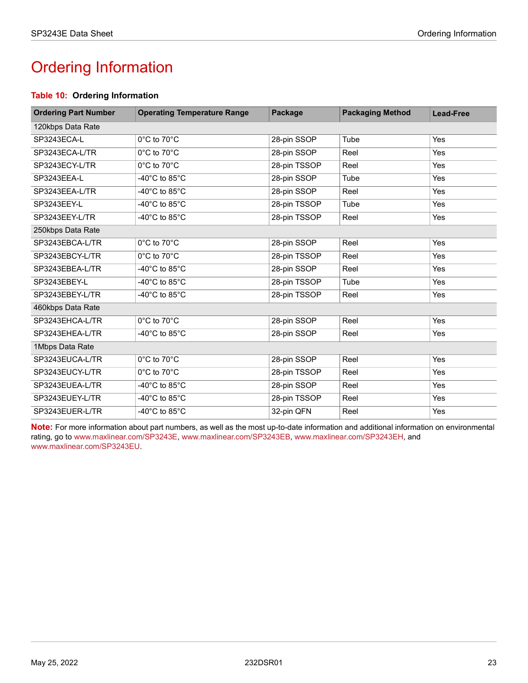# <span id="page-28-1"></span><span id="page-28-0"></span>Ordering Information

#### <span id="page-28-2"></span>**Table 10: Ordering Information**

| <b>Ordering Part Number</b> | <b>Operating Temperature Range</b>  | Package      | <b>Packaging Method</b> | <b>Lead-Free</b> |  |
|-----------------------------|-------------------------------------|--------------|-------------------------|------------------|--|
| 120kbps Data Rate           |                                     |              |                         |                  |  |
| SP3243ECA-L                 | 0°C to 70°C                         | 28-pin SSOP  | Tube                    | <b>Yes</b>       |  |
| SP3243ECA-L/TR              | 0°C to 70°C                         | 28-pin SSOP  | Reel                    | Yes              |  |
| SP3243ECY-L/TR              | 0°C to 70°C                         | 28-pin TSSOP | Reel                    | <b>Yes</b>       |  |
| SP3243EEA-L                 | -40 $^{\circ}$ C to 85 $^{\circ}$ C | 28-pin SSOP  | Tube                    | Yes              |  |
| SP3243EEA-L/TR              | -40 $^{\circ}$ C to 85 $^{\circ}$ C | 28-pin SSOP  | Reel                    | Yes              |  |
| SP3243EEY-L                 | -40 $^{\circ}$ C to 85 $^{\circ}$ C | 28-pin TSSOP | Tube                    | <b>Yes</b>       |  |
| SP3243EEY-L/TR              | -40 $^{\circ}$ C to 85 $^{\circ}$ C | 28-pin TSSOP | Reel                    | Yes              |  |
| 250kbps Data Rate           |                                     |              |                         |                  |  |
| SP3243EBCA-L/TR             | 0°C to 70°C                         | 28-pin SSOP  | Reel                    | Yes              |  |
| SP3243EBCY-L/TR             | $0^{\circ}$ C to $70^{\circ}$ C     | 28-pin TSSOP | Reel                    | Yes              |  |
| SP3243EBEA-L/TR             | -40 $^{\circ}$ C to 85 $^{\circ}$ C | 28-pin SSOP  | Reel                    | Yes              |  |
| SP3243EBEY-L                | -40 $^{\circ}$ C to 85 $^{\circ}$ C | 28-pin TSSOP | Tube                    | <b>Yes</b>       |  |
| SP3243EBEY-L/TR             | -40 $^{\circ}$ C to 85 $^{\circ}$ C | 28-pin TSSOP | Reel                    | Yes              |  |
| 460kbps Data Rate           |                                     |              |                         |                  |  |
| SP3243EHCA-L/TR             | $0^{\circ}$ C to $70^{\circ}$ C     | 28-pin SSOP  | Reel                    | Yes              |  |
| SP3243EHEA-L/TR             | -40 $^{\circ}$ C to 85 $^{\circ}$ C | 28-pin SSOP  | Reel                    | <b>Yes</b>       |  |
| 1Mbps Data Rate             |                                     |              |                         |                  |  |
| SP3243EUCA-L/TR             | 0°C to 70°C                         | 28-pin SSOP  | Reel                    | <b>Yes</b>       |  |
| SP3243EUCY-L/TR             | 0°C to 70°C                         | 28-pin TSSOP | Reel                    | Yes              |  |
| SP3243EUEA-L/TR             | -40 $^{\circ}$ C to 85 $^{\circ}$ C | 28-pin SSOP  | Reel                    | Yes              |  |
| SP3243EUEY-L/TR             | -40 $^{\circ}$ C to 85 $^{\circ}$ C | 28-pin TSSOP | Reel                    | Yes              |  |
| SP3243EUER-L/TR             | -40 $^{\circ}$ C to 85 $^{\circ}$ C | 32-pin QFN   | Reel                    | Yes              |  |

**Note:** For more information about part numbers, as well as the most up-to-date information and additional information on environmental rating, go to [www.maxlinear.com/SP3243E,](http://www.maxlinear.com/SP3243E) [www.maxlinear.com/SP3243EB,](http://www.maxlinear.com/SP3243EB) [www.maxlinear.com/SP3243EH](http://www.maxlinear.com/SP3243EH), and [www.maxlinear.com/SP3243EU](http://www.maxlinear.com/SP3243EU).